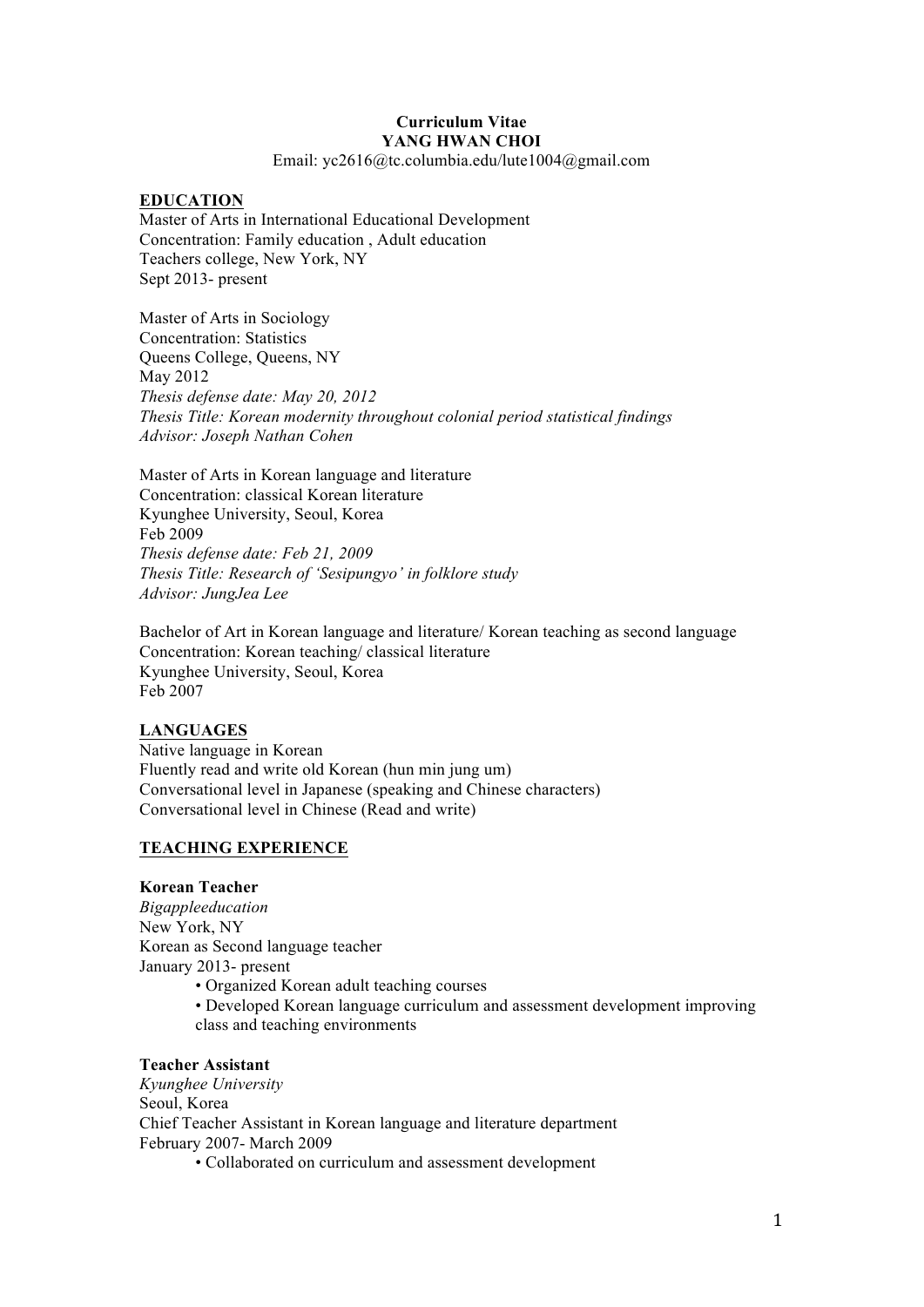# **Curriculum Vitae YANG HWAN CHOI**

Email: yc2616@tc.columbia.edu/lute1004@gmail.com

### **EDUCATION**

Master of Arts in International Educational Development Concentration: Family education , Adult education Teachers college, New York, NY Sept 2013- present

Master of Arts in Sociology Concentration: Statistics Queens College, Queens, NY May 2012 *Thesis defense date: May 20, 2012 Thesis Title: Korean modernity throughout colonial period statistical findings Advisor: Joseph Nathan Cohen*

Master of Arts in Korean language and literature Concentration: classical Korean literature Kyunghee University, Seoul, Korea Feb 2009 *Thesis defense date: Feb 21, 2009 Thesis Title: Research of 'Sesipungyo' in folklore study Advisor: JungJea Lee* 

Bachelor of Art in Korean language and literature/ Korean teaching as second language Concentration: Korean teaching/ classical literature Kyunghee University, Seoul, Korea Feb 2007

# **LANGUAGES**

Native language in Korean Fluently read and write old Korean (hun min jung um) Conversational level in Japanese (speaking and Chinese characters) Conversational level in Chinese (Read and write)

# **TEACHING EXPERIENCE**

### **Korean Teacher**

*Bigappleeducation* New York, NY Korean as Second language teacher January 2013- present • Organized Korean adult teaching courses

• Developed Korean language curriculum and assessment development improving class and teaching environments

#### **Teacher Assistant**

*Kyunghee University* Seoul, Korea Chief Teacher Assistant in Korean language and literature department February 2007- March 2009

• Collaborated on curriculum and assessment development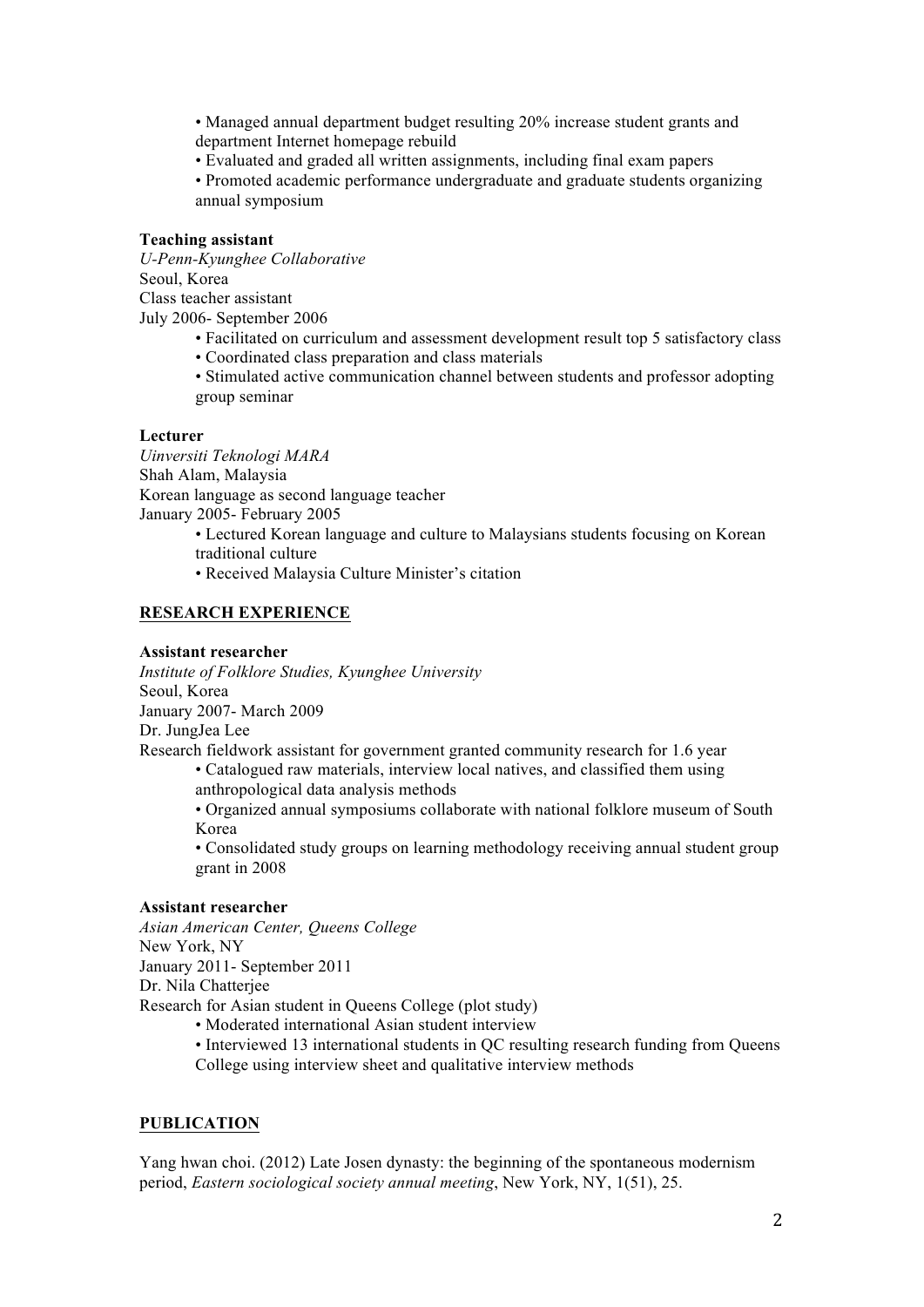• Managed annual department budget resulting 20% increase student grants and department Internet homepage rebuild

• Evaluated and graded all written assignments, including final exam papers

• Promoted academic performance undergraduate and graduate students organizing annual symposium

### **Teaching assistant**

*U-Penn-Kyunghee Collaborative* Seoul, Korea Class teacher assistant July 2006- September 2006

- Facilitated on curriculum and assessment development result top 5 satisfactory class
- Coordinated class preparation and class materials

• Stimulated active communication channel between students and professor adopting group seminar

### **Lecturer**

*Uinversiti Teknologi MARA* Shah Alam, Malaysia Korean language as second language teacher January 2005- February 2005

- Lectured Korean language and culture to Malaysians students focusing on Korean traditional culture
- Received Malaysia Culture Minister's citation

# **RESEARCH EXPERIENCE**

### **Assistant researcher**

*Institute of Folklore Studies, Kyunghee University* Seoul, Korea January 2007- March 2009 Dr. JungJea Lee

Research fieldwork assistant for government granted community research for 1.6 year

• Catalogued raw materials, interview local natives, and classified them using anthropological data analysis methods

• Organized annual symposiums collaborate with national folklore museum of South Korea

• Consolidated study groups on learning methodology receiving annual student group grant in 2008

# **Assistant researcher**

*Asian American Center, Queens College* New York, NY January 2011- September 2011 Dr. Nila Chatterjee Research for Asian student in Queens College (plot study)

- Moderated international Asian student interview • Interviewed 13 international students in QC resulting research funding from Queens
- College using interview sheet and qualitative interview methods

# **PUBLICATION**

Yang hwan choi. (2012) Late Josen dynasty: the beginning of the spontaneous modernism period, *Eastern sociological society annual meeting*, New York, NY, 1(51), 25.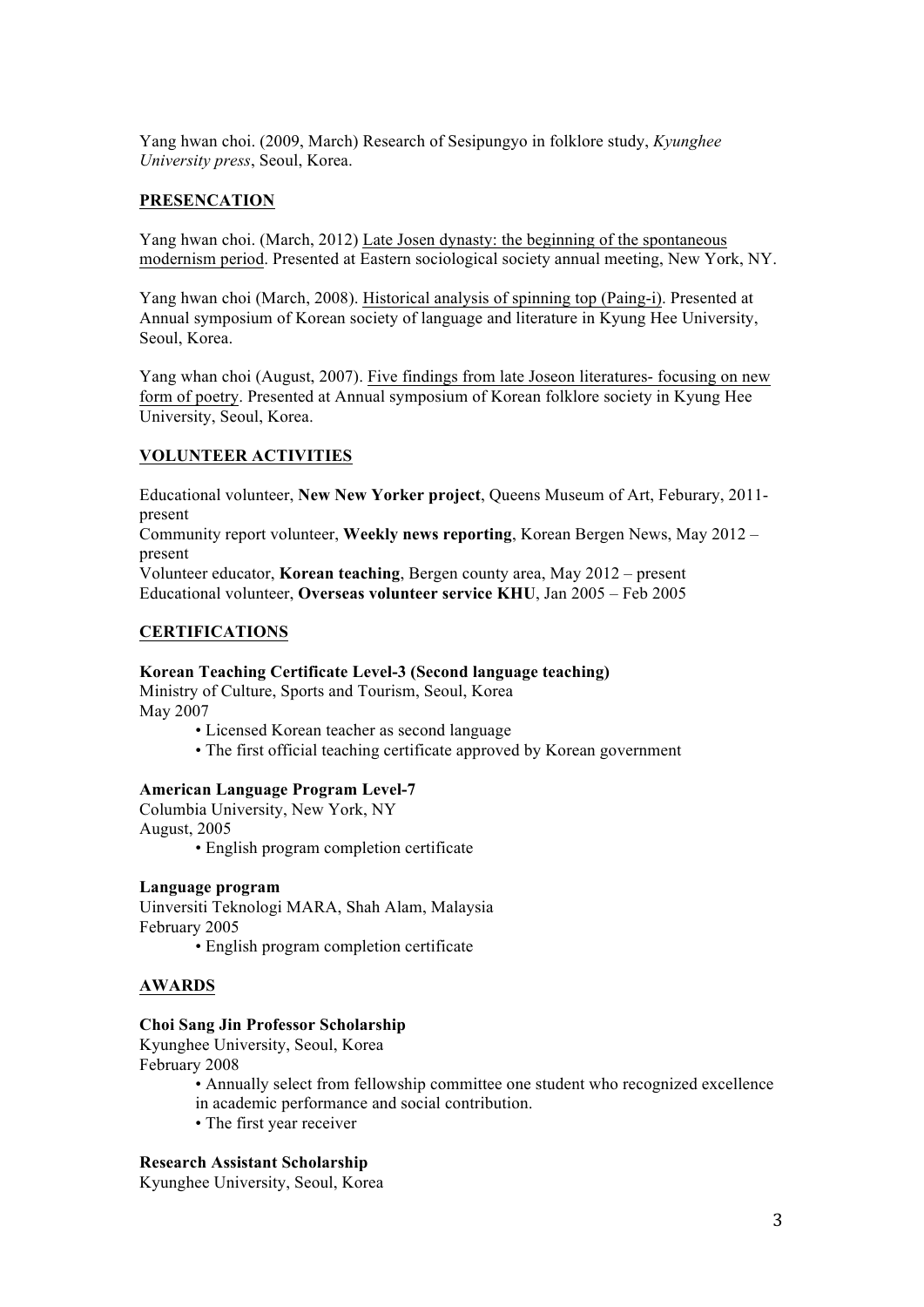Yang hwan choi. (2009, March) Research of Sesipungyo in folklore study, *Kyunghee University press*, Seoul, Korea.

### **PRESENCATION**

Yang hwan choi. (March, 2012) Late Josen dynasty: the beginning of the spontaneous modernism period. Presented at Eastern sociological society annual meeting, New York, NY.

Yang hwan choi (March, 2008). Historical analysis of spinning top (Paing-i). Presented at Annual symposium of Korean society of language and literature in Kyung Hee University, Seoul, Korea.

Yang whan choi (August, 2007). Five findings from late Joseon literatures- focusing on new form of poetry. Presented at Annual symposium of Korean folklore society in Kyung Hee University, Seoul, Korea.

### **VOLUNTEER ACTIVITIES**

Educational volunteer, **New New Yorker project**, Queens Museum of Art, Feburary, 2011 present

Community report volunteer, **Weekly news reporting**, Korean Bergen News, May 2012 – present

Volunteer educator, **Korean teaching**, Bergen county area, May 2012 – present Educational volunteer, **Overseas volunteer service KHU**, Jan 2005 – Feb 2005

### **CERTIFICATIONS**

### **Korean Teaching Certificate Level-3 (Second language teaching)**

Ministry of Culture, Sports and Tourism, Seoul, Korea May 2007

- Licensed Korean teacher as second language
- The first official teaching certificate approved by Korean government

### **American Language Program Level-7**

Columbia University, New York, NY August, 2005

• English program completion certificate

### **Language program**

Uinversiti Teknologi MARA, Shah Alam, Malaysia February 2005

• English program completion certificate

### **AWARDS**

### **Choi Sang Jin Professor Scholarship**

Kyunghee University, Seoul, Korea February 2008

- Annually select from fellowship committee one student who recognized excellence in academic performance and social contribution.
- The first year receiver

### **Research Assistant Scholarship**

Kyunghee University, Seoul, Korea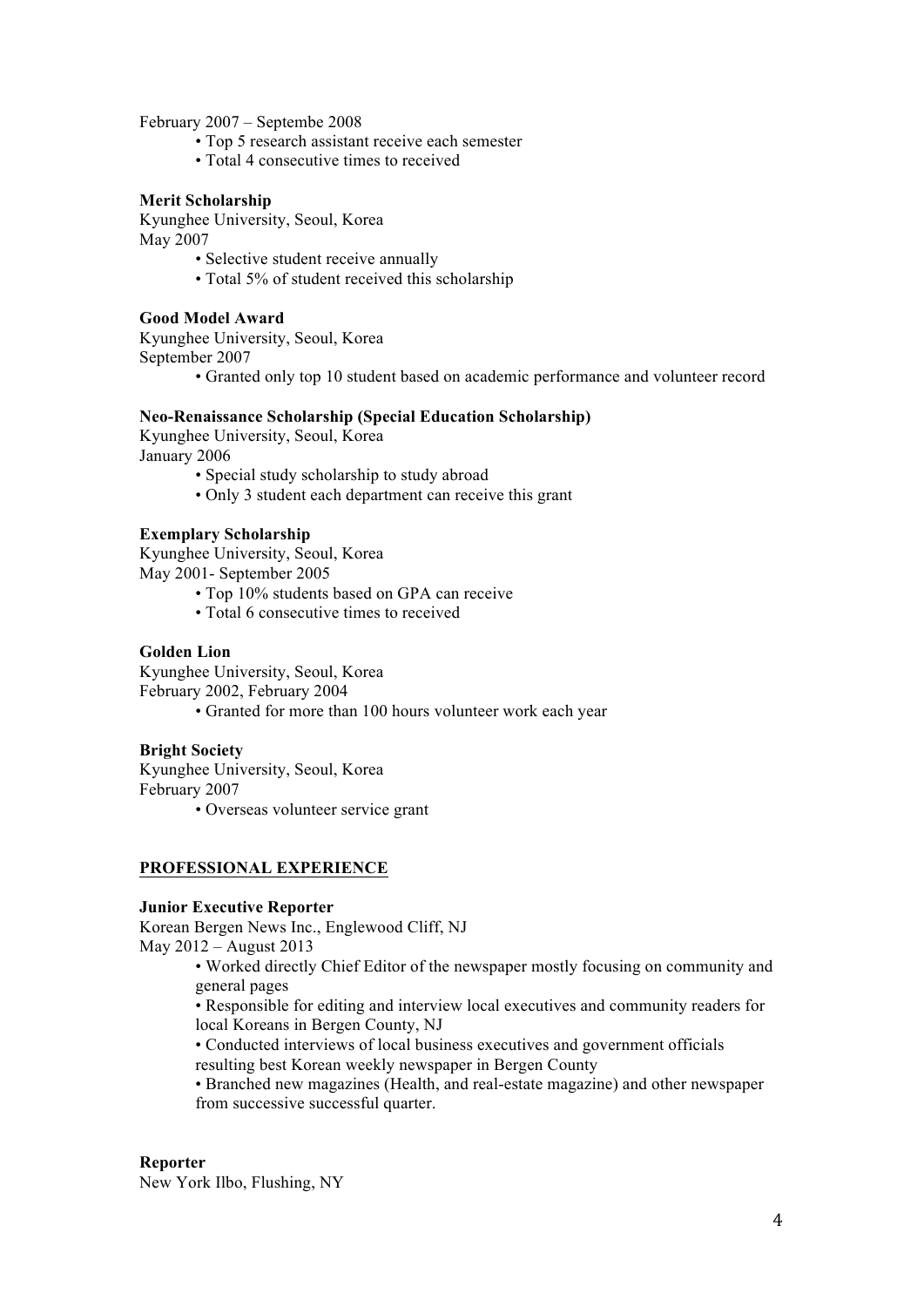February 2007 – Septembe 2008

- Top 5 research assistant receive each semester
- Total 4 consecutive times to received

#### **Merit Scholarship**

Kyunghee University, Seoul, Korea May 2007

- Selective student receive annually
- Total 5% of student received this scholarship

#### **Good Model Award**

Kyunghee University, Seoul, Korea September 2007

• Granted only top 10 student based on academic performance and volunteer record

### **Neo-Renaissance Scholarship (Special Education Scholarship)**

Kyunghee University, Seoul, Korea January 2006

- Special study scholarship to study abroad
- Only 3 student each department can receive this grant

### **Exemplary Scholarship**

Kyunghee University, Seoul, Korea May 2001- September 2005

- Top 10% students based on GPA can receive
- Total 6 consecutive times to received

#### **Golden Lion**

Kyunghee University, Seoul, Korea February 2002, February 2004 • Granted for more than 100 hours volunteer work each year

### **Bright Society**

Kyunghee University, Seoul, Korea February 2007

• Overseas volunteer service grant

### **PROFESSIONAL EXPERIENCE**

#### **Junior Executive Reporter**

Korean Bergen News Inc., Englewood Cliff, NJ May 2012 – August 2013

• Worked directly Chief Editor of the newspaper mostly focusing on community and general pages

• Responsible for editing and interview local executives and community readers for local Koreans in Bergen County, NJ

• Conducted interviews of local business executives and government officials resulting best Korean weekly newspaper in Bergen County

• Branched new magazines (Health, and real-estate magazine) and other newspaper from successive successful quarter.

#### **Reporter**

New York Ilbo, Flushing, NY